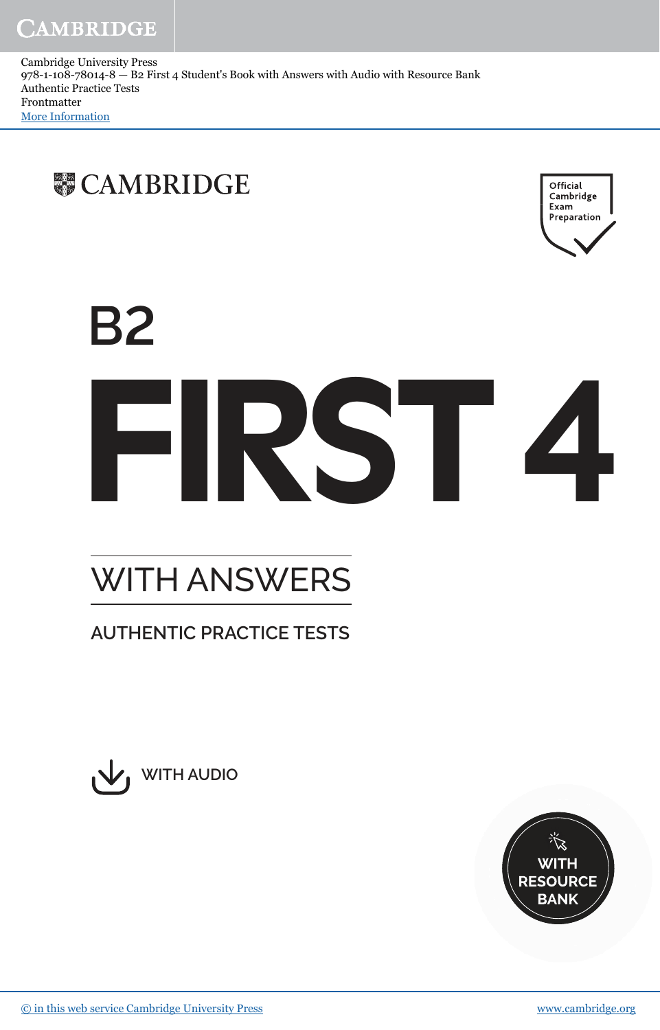Cambridge University Press 978-1-108-78014-8 — B2 First 4 Student's Book with Answers with Audio with Resource Bank Authentic Practice Tests Frontmatter More Information





# **B2** FIRST**4**

## WITH ANSWERS

### **AUTHENTIC PRACTICE TESTS**



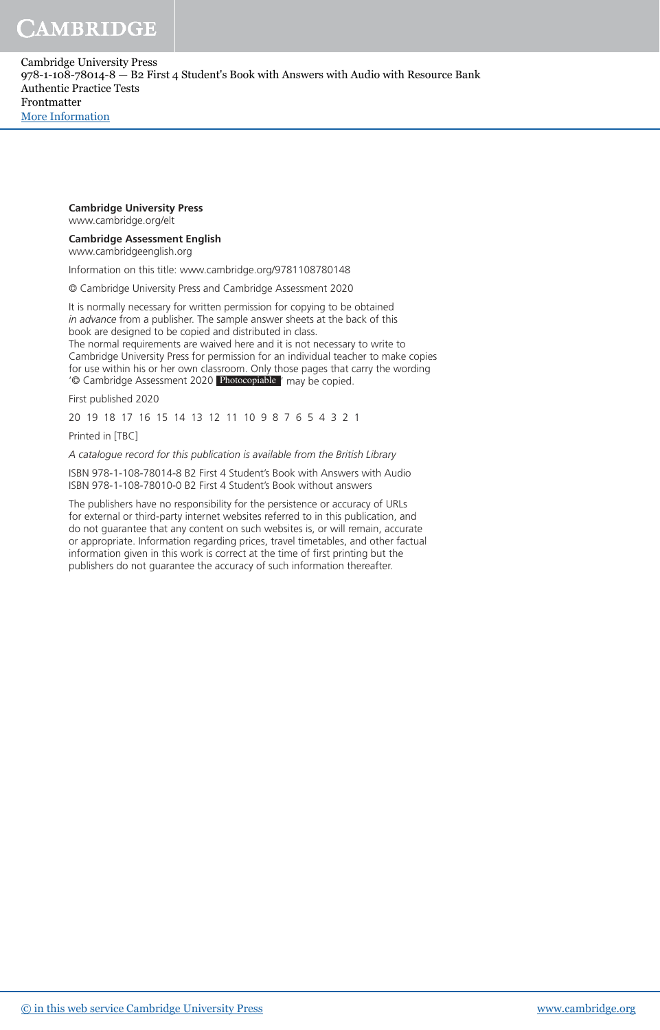CAMBRIDGE

Cambridge University Press 978-1-108-78014-8 — B2 First 4 Student's Book with Answers with Audio with Resource Bank Authentic Practice Tests Frontmatter [More Information](www.cambridge.org/9781108780148)

#### **Cambridge University Press**

www.cambridge.org/elt

#### **Cambridge Assessment English**

www.cambridgeenglish.org

Information on this title: www.cambridge.org/9781108780148

© Cambridge University Press and Cambridge Assessment 2020

It is normally necessary for written permission for copying to be obtained *in advance* from a publisher. The sample answer sheets at the back of this book are designed to be copied and distributed in class.

The normal requirements are waived here and it is not necessary to write to Cambridge University Press for permission for an individual teacher to make copies for use within his or her own classroom. Only those pages that carry the wording '© Cambridge Assessment 2020 Photocopiable ' may be copied.

First published 2020

20 19 18 17 16 15 14 13 12 11 10 9 8 7 6 5 4 3 2 1

Printed in [TBC]

*A catalogue record for this publication is available from the British Library*

ISBN 978-1-108-78014-8 B2 First 4 Student's Book with Answers with Audio ISBN 978-1-108-78010-0 B2 First 4 Student's Book without answers

The publishers have no responsibility for the persistence or accuracy of URLs for external or third-party internet websites referred to in this publication, and do not guarantee that any content on such websites is, or will remain, accurate or appropriate. Information regarding prices, travel timetables, and other factual information given in this work is correct at the time of first printing but the publishers do not guarantee the accuracy of such information thereafter.